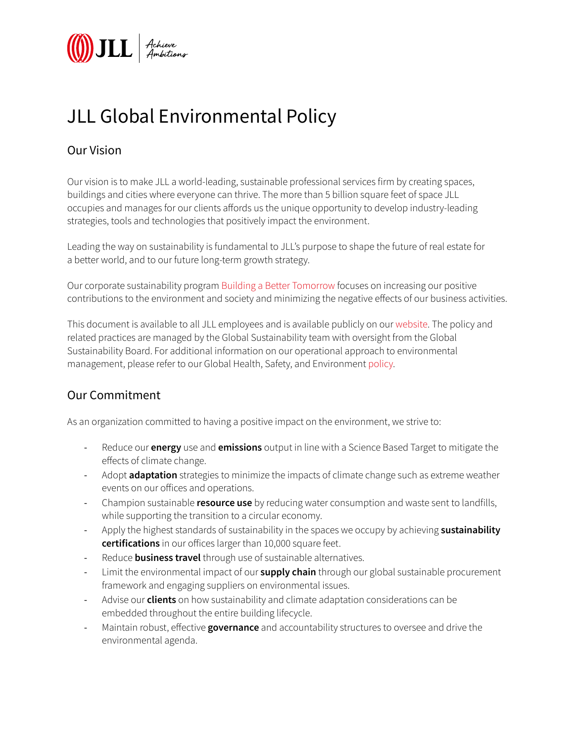

## JLL Global Environmental Policy

## Our Vision

Our vision is to make JLL a world-leading, sustainable professional services firm by creating spaces, buildings and cities where everyone can thrive. The more than 5 billion square feet of space JLL occupies and manages for our clients affords us the unique opportunity to develop industry-leading strategies, tools and technologies that positively impact the environment.

Leading the way on sustainability is fundamental to JLL's purpose to shape the future of real estate for a better world, and to our future long-term growth strategy.

Our corporate sustainability program [Building a Better Tomorrow](https://www.us.jll.com/en/about-jll/our-sustainability-leadership) focuses on increasing our positive contributions to the environment and society and minimizing the negative effects of our business activities.

This document is available to all JLL employees and is available publicly on our [website](https://www.us.jll.com/en/about-jll). The policy and related practices are managed by the Global Sustainability team with oversight from the Global Sustainability Board. For additional information on our operational approach to environmental management, please refer to our Global Health, Safety, and Environment [policy](https://www.us.jll.com/content/dam/jll-com/images/company-information/global-health-and-safety-policy-2018.pdf).

## Our Commitment

As an organization committed to having a positive impact on the environment, we strive to:

- Reduce our **energy** use and **emissions** output in line with a Science Based Target to mitigate the effects of climate change.
- Adopt **adaptation** strategies to minimize the impacts of climate change such as extreme weather events on our offices and operations.
- Champion sustainable **resource use** by reducing water consumption and waste sent to landfills, while supporting the transition to a circular economy.
- Apply the highest standards of sustainability in the spaces we occupy by achieving **sustainability certifications** in our offices larger than 10,000 square feet.
- Reduce **business travel** through use of sustainable alternatives.
- Limit the environmental impact of our **supply chain** through our global sustainable procurement framework and engaging suppliers on environmental issues.
- Advise our **clients** on how sustainability and climate adaptation considerations can be embedded throughout the entire building lifecycle.
- Maintain robust, effective **governance** and accountability structures to oversee and drive the environmental agenda.